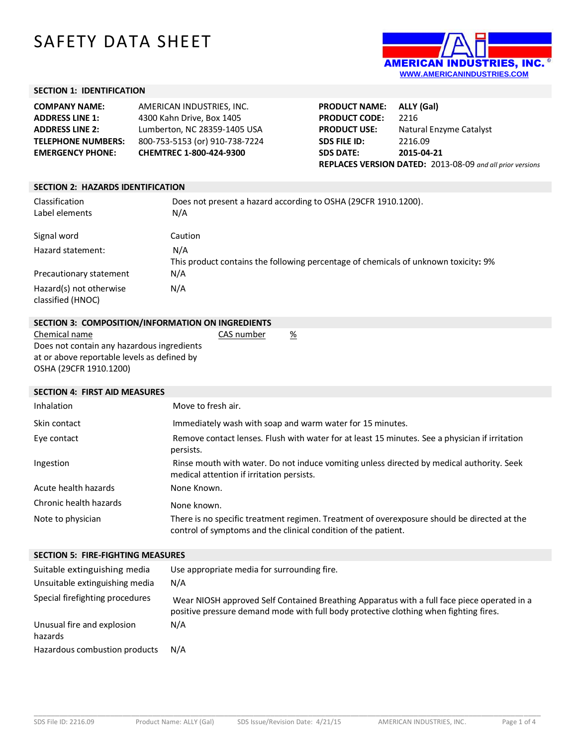# SAFETY DATA SHEET



## **SECTION 1: IDENTIFICATION**

| <b>COMPANY NAME:</b>      | AMERICAN INDUSTRIES. INC.      |
|---------------------------|--------------------------------|
| <b>ADDRESS LINE 1:</b>    | 4300 Kahn Drive, Box 1405      |
| <b>ADDRESS LINE 2:</b>    | Lumberton, NC 28359-1405 USA   |
| <b>TELEPHONE NUMBERS:</b> | 800-753-5153 (or) 910-738-7224 |
| <b>EMERGENCY PHONE:</b>   | CHEMTREC 1-800-424-9300        |

| <b>PRODUCT NAME:</b>                                      | ALLY (Gal)              |  |
|-----------------------------------------------------------|-------------------------|--|
| <b>PRODUCT CODE:</b>                                      | 2216                    |  |
| <b>PRODUCT USE:</b>                                       | Natural Enzyme Catalyst |  |
| <b>SDS FILE ID:</b>                                       | 2216.09                 |  |
| <b>SDS DATE:</b>                                          | 2015-04-21              |  |
| REPLACES VERSION DATED: 2013-08-09 and all prior versions |                         |  |

#### **SECTION 2: HAZARDS IDENTIFICATION**

| Classification<br>Label elements             | Does not present a hazard according to OSHA (29CFR 1910.1200).<br>N/A                      |
|----------------------------------------------|--------------------------------------------------------------------------------------------|
| Signal word                                  | Caution                                                                                    |
| Hazard statement:                            | N/A<br>This product contains the following percentage of chemicals of unknown toxicity: 9% |
| Precautionary statement                      | N/A                                                                                        |
| Hazard(s) not otherwise<br>classified (HNOC) | N/A                                                                                        |

| SECTION 3: COMPOSITION/INFORMATION ON INGREDIENTS |            |   |
|---------------------------------------------------|------------|---|
| Chemical name                                     | CAS number | ℅ |
| Does not contain any hazardous ingredients        |            |   |
| at or above reportable levels as defined by       |            |   |

OSHA (29CFR 1910.1200)

## **SECTION 4: FIRST AID MEASURES**

| Inhalation             | Move to fresh air.                                                                                                                                            |
|------------------------|---------------------------------------------------------------------------------------------------------------------------------------------------------------|
| Skin contact           | Immediately wash with soap and warm water for 15 minutes.                                                                                                     |
| Eye contact            | Remove contact lenses. Flush with water for at least 15 minutes. See a physician if irritation<br>persists.                                                   |
| Ingestion              | Rinse mouth with water. Do not induce vomiting unless directed by medical authority. Seek<br>medical attention if irritation persists.                        |
| Acute health hazards   | None Known.                                                                                                                                                   |
| Chronic health hazards | None known.                                                                                                                                                   |
| Note to physician      | There is no specific treatment regimen. Treatment of overexposure should be directed at the<br>control of symptoms and the clinical condition of the patient. |

#### **SECTION 5: FIRE-FIGHTING MEASURES**

| Suitable extinguishing media<br>Unsuitable extinguishing media | Use appropriate media for surrounding fire.<br>N/A                                                                                                                                   |
|----------------------------------------------------------------|--------------------------------------------------------------------------------------------------------------------------------------------------------------------------------------|
| Special firefighting procedures                                | Wear NIOSH approved Self Contained Breathing Apparatus with a full face piece operated in a<br>positive pressure demand mode with full body protective clothing when fighting fires. |
| Unusual fire and explosion<br>hazards                          | N/A                                                                                                                                                                                  |
| Hazardous combustion products                                  | N/A                                                                                                                                                                                  |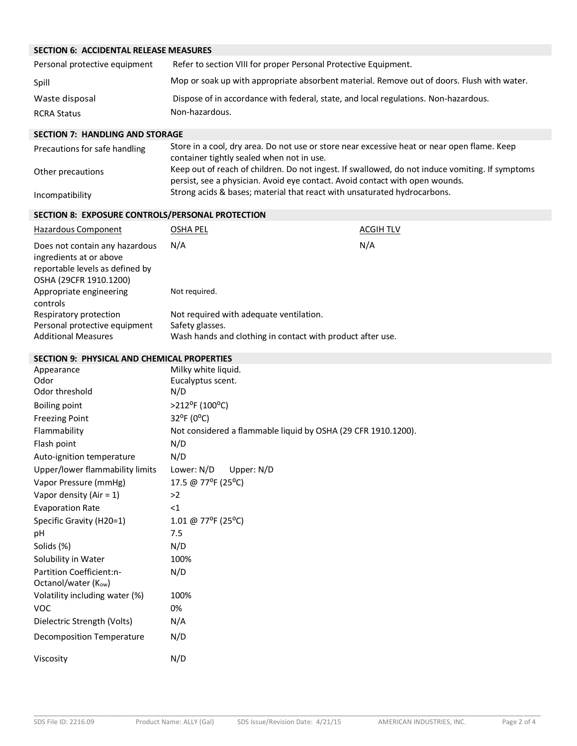# **SECTION 6: ACCIDENTAL RELEASE MEASURES**

| Personal protective equipment | Refer to section VIII for proper Personal Protective Equipment.                            |
|-------------------------------|--------------------------------------------------------------------------------------------|
| Spill                         | Mop or soak up with appropriate absorbent material. Remove out of doors. Flush with water. |
| Waste disposal                | Dispose of in accordance with federal, state, and local regulations. Non-hazardous.        |
| <b>RCRA Status</b>            | Non-hazardous.                                                                             |

#### **SECTION 7: HANDLING AND STORAGE**

| Precautions for safe handling | Store in a cool, dry area. Do not use or store near excessive heat or near open flame. Keep<br>container tightly sealed when not in use.                 |
|-------------------------------|----------------------------------------------------------------------------------------------------------------------------------------------------------|
| Other precautions             | Keep out of reach of children. Do not ingest. If swallowed, do not induce vomiting. If symptoms                                                          |
| Incompatibility               | persist, see a physician. Avoid eye contact. Avoid contact with open wounds.<br>Strong acids & bases; material that react with unsaturated hydrocarbons. |

## **SECTION 8: EXPOSURE CONTROLS/PERSONAL PROTECTION**

| Hazardous Component                                                                                                    | OSHA PEL                                                   | <b>ACGIH TLV</b> |
|------------------------------------------------------------------------------------------------------------------------|------------------------------------------------------------|------------------|
| Does not contain any hazardous<br>ingredients at or above<br>reportable levels as defined by<br>OSHA (29CFR 1910.1200) | N/A                                                        | N/A              |
| Appropriate engineering<br>controls                                                                                    | Not required.                                              |                  |
| Respiratory protection                                                                                                 | Not required with adequate ventilation.                    |                  |
| Personal protective equipment                                                                                          | Safety glasses.                                            |                  |
| <b>Additional Measures</b>                                                                                             | Wash hands and clothing in contact with product after use. |                  |

## **SECTION 9: PHYSICAL AND CHEMICAL PROPERTIES**

| Appearance                       | Milky white liquid.                                           |
|----------------------------------|---------------------------------------------------------------|
| Odor                             | Eucalyptus scent.                                             |
| Odor threshold                   | N/D                                                           |
| <b>Boiling point</b>             | >212°F (100°C)                                                |
| <b>Freezing Point</b>            | 32°F (0°C)                                                    |
| Flammability                     | Not considered a flammable liquid by OSHA (29 CFR 1910.1200). |
| Flash point                      | N/D                                                           |
| Auto-ignition temperature        | N/D                                                           |
| Upper/lower flammability limits  | Lower: N/D<br>Upper: N/D                                      |
| Vapor Pressure (mmHg)            | 17.5 @ 77°F (25°C)                                            |
| Vapor density (Air = $1$ )       | >2                                                            |
| <b>Evaporation Rate</b>          | $<$ 1                                                         |
| Specific Gravity (H20=1)         | 1.01 @ 77°F (25°C)                                            |
| рH                               | 7.5                                                           |
| Solids (%)                       | N/D                                                           |
| Solubility in Water              | 100%                                                          |
| Partition Coefficient:n-         | N/D                                                           |
| Octanol/water (Kow)              |                                                               |
| Volatility including water (%)   | 100%                                                          |
| <b>VOC</b>                       | 0%                                                            |
| Dielectric Strength (Volts)      | N/A                                                           |
| <b>Decomposition Temperature</b> | N/D                                                           |
| Viscosity                        | N/D                                                           |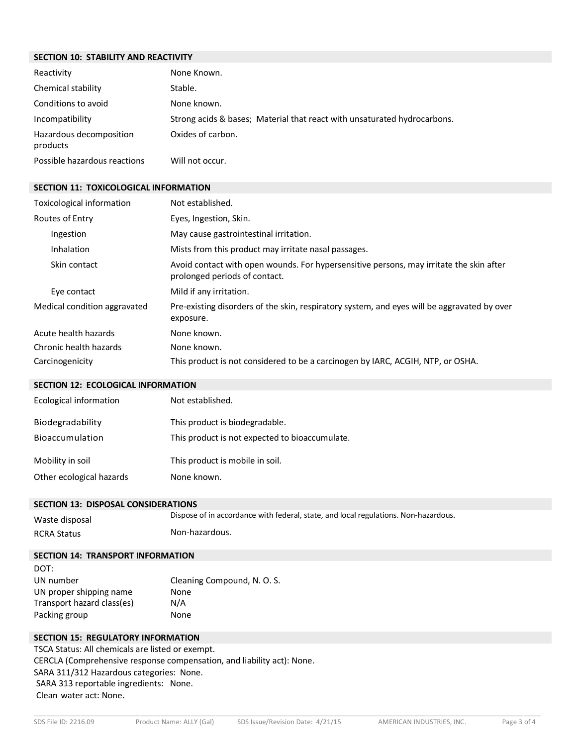## **SECTION 10: STABILITY AND REACTIVITY**

| Reactivity                          | None Known.                                                              |
|-------------------------------------|--------------------------------------------------------------------------|
| Chemical stability                  | Stable.                                                                  |
| Conditions to avoid                 | None known.                                                              |
| Incompatibility                     | Strong acids & bases; Material that react with unsaturated hydrocarbons. |
| Hazardous decomposition<br>products | Oxides of carbon.                                                        |
| Possible hazardous reactions        | Will not occur.                                                          |

#### **SECTION 11: TOXICOLOGICAL INFORMATION**

| Toxicological information    | Not established.                                                                                                         |
|------------------------------|--------------------------------------------------------------------------------------------------------------------------|
| Routes of Entry              | Eyes, Ingestion, Skin.                                                                                                   |
| Ingestion                    | May cause gastrointestinal irritation.                                                                                   |
| Inhalation                   | Mists from this product may irritate nasal passages.                                                                     |
| Skin contact                 | Avoid contact with open wounds. For hypersensitive persons, may irritate the skin after<br>prolonged periods of contact. |
| Eye contact                  | Mild if any irritation.                                                                                                  |
| Medical condition aggravated | Pre-existing disorders of the skin, respiratory system, and eyes will be aggravated by over<br>exposure.                 |
| Acute health hazards         | None known.                                                                                                              |
| Chronic health hazards       | None known.                                                                                                              |
| Carcinogenicity              | This product is not considered to be a carcinogen by IARC, ACGIH, NTP, or OSHA.                                          |

#### **SECTION 12: ECOLOGICAL INFORMATION**

| <b>Ecological information</b> | Not established.                               |
|-------------------------------|------------------------------------------------|
| Biodegradability              | This product is biodegradable.                 |
| Bioaccumulation               | This product is not expected to bioaccumulate. |
| Mobility in soil              | This product is mobile in soil.                |
| Other ecological hazards      | None known.                                    |

#### **SECTION 13: DISPOSAL CONSIDERATIONS**

| Waste disposal     | Dispose of in accordance with federal, state, and local regulations. Non-hazardous. |
|--------------------|-------------------------------------------------------------------------------------|
| <b>RCRA Status</b> | Non-hazardous.                                                                      |

# **SECTION 14: TRANSPORT INFORMATION**

| DOT:                       |                             |
|----------------------------|-----------------------------|
| UN number                  | Cleaning Compound, N. O. S. |
| UN proper shipping name    | None                        |
| Transport hazard class(es) | N/A                         |
| Packing group              | None                        |

## **SECTION 15: REGULATORY INFORMATION**

TSCA Status: All chemicals are listed or exempt. CERCLA (Comprehensive response compensation, and liability act): None. SARA 311/312 Hazardous categories: None. SARA 313 reportable ingredients: None. Clean water act: None.